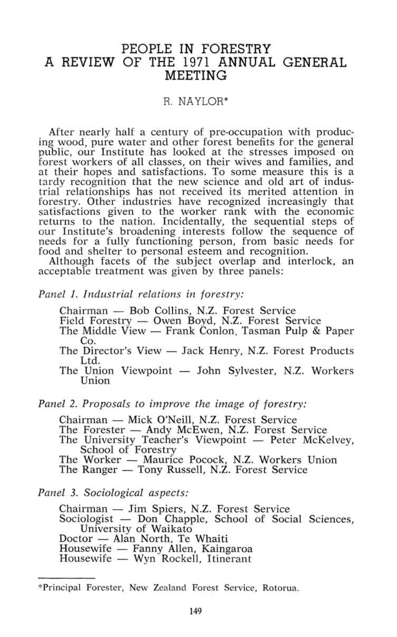# PEOPLE IN FORESTRY A REVIEW OF THE 1971 ANNUAL GENERAL MEETING

## R. NAYLOR\*

After nearly half a century of pre-occupation with producing wood, pure water and other forest benefits for the general public, our Institute has looked at the stresses imposed on forest workers of all classes, on their wives and families, and at their hopes and satisfactions. To some measure this is a tardy recognition that the new science and old art of industrial relationships has not received its merited attention in forestry. Other industries have recognized increasingly that satisfactions given to the worker rank with the economic returns to the nation. Incidentally, the sequential steps of our Institute's broadening interests follow the sequence of needs for a fully functioning person, from basic needs for food and shelter to personal esteem and recognition.

Although facets of the subject overlap and interlock, an acceptable treatment was given by three panels:

#### *Panel 1. Industrial relations in forestry:*

Chairman — Bob Collins, N.Z. Forest Service

Field Forestry — Owen Boyd, N.Z. Forest Service

- The Middle View Frank Conlon, Tasman Pulp & Paper Co.
- The Director's View Jack Henry, N.Z. Forest Products Ltd.
- The Union Viewpoint John Sylvester, N.Z. Workers Union

### *Panel* 2. *Proposals to improve the image of forestry:*

Chairman — Mick O'Neill, N.Z. Forest Service

- The Forester Andy McEwen, N.Z. Forest Service
- The University Teacher's Viewpoint Peter McKelvey, School of Forestry

The Worker — Maurice Pocock, N.Z. Workers Union

The Ranger — Tony Russell, N.Z. Forest Service

## *Panel 3. Sociological aspects:*

Chairman — Jim Spiers, N.Z. Forest Service Sociologist — Don Chapple, School of Social Sciences, University of Waikato Doctor — Alan North, Te Whaiti Housewife — Fanny Allen, Kaingaroa Housewife — Wyn Rockell, Itinerant

<sup>&</sup>quot;Principal Forester, New Zealand Forest Service, Rotorua.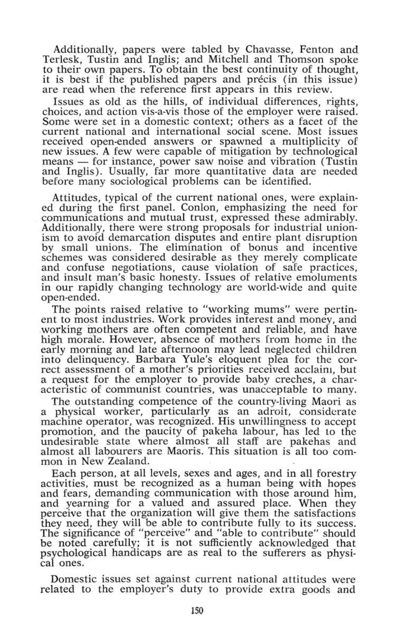Additionally, papers were tabled by Chavasse, Fenton and Terlesk, Tustin and Inglis; and Mitchell and Thomson spoke to their own papers. To obtain the best continuity of thought, it is best if the published papers and precis (in this issue) are read when the reference first appears in this review.

Issues as old as the hills, of individual differences, rights, choices, and action vis-a-vis those of the employer were raised. Some were set in a domestic context; others as a facet of the current national and international social scene. Most issues received open-ended answers or spawned a multiplicity of new issues. A few were capable of mitigation by technological means — for instance, power saw noise and vibration (Tustin and Inglis). Usually, far more quantitative data are needed before many sociological problems can be identified.

Attitudes, typical of the current national ones, were explained during the first panel. Conlon, emphasizing the need for communications and mutual trust, expressed these admirably. Additionally, there were strong proposals for industrial unionism to avoid demarcation disputes and entire plant disruption by small unions. The elimination of bonus and incentive schemes was considered desirable as they merely complicate and confuse negotiations, cause violation of safe practices, and insult man's basic honesty. Issues of relative emoluments in our rapidly changing technology are world-wide and quite open-ended.

The points raised relative to "working mums" were pertinent to most industries. Work provides interest and money, and working mothers are often competent and reliable, and have high morale. However, absence of mothers from home in the early morning and late afternoon may lead neglected children into delinquency. Barbara Yule's eloquent plea for the correct assessment of a mother's priorities received acclaim, but a request for the employer to provide baby creches, a characteristic of communist countries, was unacceptable to many.

The outstanding competence of the country-living Maori as a physical worker, particularly as an adroit, considerate machine operator, was recognized. His unwillingness to accept promotion, and the paucity of pakeha labour, has led to the undesirable state where almost all staff are pakehas and almost all labourers are Maoris. This situation is all too common in New Zealand.

Each person, at all levels, sexes and ages, and in all forestry activities, must be recognized as a human being with hopes and fears, demanding communication with those around him, and yearning for a valued and assured place. When they perceive that the organization will give them the satisfactions they need, they will be able to contribute fully to its success. The significance of "perceive" and "able to contribute" should be noted carefully; it is not sufficiently acknowledged that psychological handicaps are as real to the sufferers as physical ones.

Domestic issues set against current national attitudes were related to the employer's duty to provide extra goods and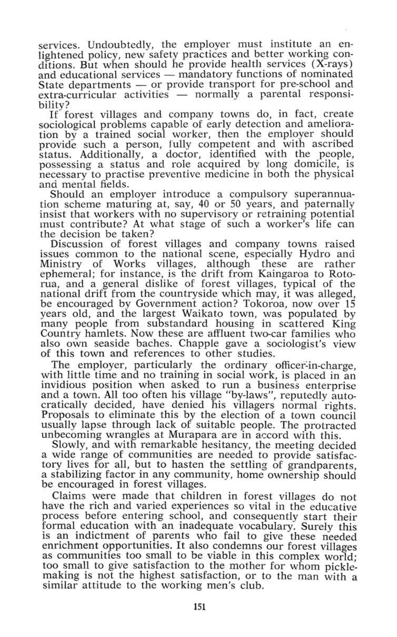services. Undoubtedly, the employer must institute an enlightened policy, new safety practices and better working conditions. But when should he provide health services (X-rays) and educational services — mandatory functions of nominated State departments — or provide transport for pre-school and extra-curricular activities — normally a parental responsibility?

If forest villages and company towns do, in fact, create sociological problems capable of early detection and amelioration by a trained social worker, then the employer should provide such a person, fully competent and with ascribed status. Additionally, a doctor, identified with the people, possessing a status and role acquired by long domicile, is necessary to practise preventive medicine in both the physical and mental fields.

Should an employer introduce a compulsory superannuation scheme maturing at, say, 40 or 50 years, and paternally insist that workers with no supervisory or retraining potential must contribute? At what stage of such a worker's life can the decision be taken?

Discussion of forest villages and company towns raised issues common to the national scene, especially Hydro and villages, although these are rather ephemeral; for instance, is the drift from Kaingaroa to Rotorua, and a general dislike of forest villages, typical of the national drift from the countryside which may, it was alleged, be encouraged by Government action? Tokoroa, now over 15 years old, and the largest Waikato town, was populated by many people from substandard housing in scattered King Country hamlets. Now these are affluent two-car families who also own seaside baches. Chappie gave a sociologist's view of this town and references to other studies.

The employer, particularly the ordinary officer-in-charge, with little time and no training in social work, is placed in an invidious position when asked to run a business enterprise and a town. All too often his village "by-laws", reputedly autocratically decided, have denied his villagers normal rights. Proposals to eliminate this by the election of a town council usually lapse through lack of suitable people. The protracted unbecoming wrangles at Murapara are in accord with this.

Slowly, and with remarkable hesitancy, the meeting decided a wide range of communities are needed to provide satisfactory lives for all, but to hasten the settling of grandparents, a stabilizing factor in any community, home ownership should be encouraged in forest villages.

Claims were made that children in forest villages do not have the rich and varied experiences so vital in the educative process before entering school, and consequently start their formal education with an inadequate vocabulary. Surely this is an indictment of parents who fail to give these needed enrichment opportunities. It also condemns our forest villages as communities too small to be viable in this complex world; too small to give satisfaction to the mother for whom picklemaking is not the highest satisfaction, or to the man with a similar attitude to the working men's club.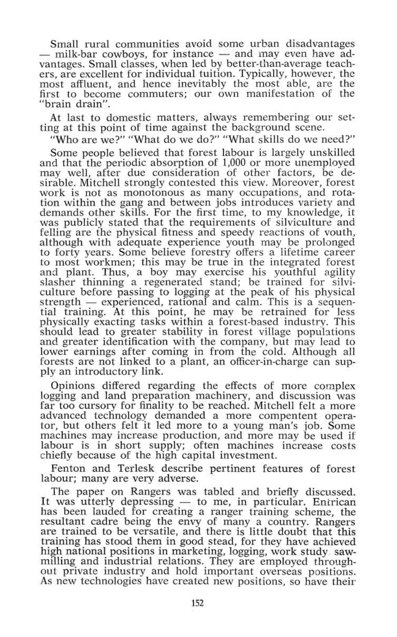Small rural communities avoid some urban disadvantages — milk-bar cowboys, for instance — and may even have advantages. Small classes, when led by better-than-average teachers, are excellent for individual tuition. Typically, however, the most affluent, and hence inevitably the most able, are the first to become commuters; our own manifestation of the "brain drain".

At last to domestic matters, always remembering our setting at this point of time against the background scene.

"Who are we?" "What do we do?" "What skills do we need?"

Some people believed that forest labour is largely unskilled and that the periodic absorption of 1,000 or more unemployed may well, after due consideration of other factors, be desirable. Mitchell strongly contested this view. Moreover, forest work is not as monotonous as many occupations, and rotation within the gang and between jobs introduces variety and demands other skills. For the first time, to my knowledge, it was publicly stated that the requirements of silviculture and felling are the physical fitness and speedy reactions of vouth, although with adequate experience youth may be prolonged to forty years. Some believe forestry offers a lifetime career to most workmen; this may be true in the integrated forest and plant. Thus, a boy may exercise his youthful agility slasher thinning a regenerated stand; be trained for silviculture before passing to logging at the peak of his physical strength — experienced, rational and calm. This is a sequential training. At this point, he may be retrained for less physically exacting tasks within a forest-based industry. This should lead to greater stability in forest village populations and greater identification with the company, but may lead to lower earnings after coming in from the cold. Although all forests are not linked to a plant, an Officer-in-charge can supply an introductory link.

Opinions differed regarding the effects of more complex logging and land preparation machinery, and discussion was far too cursory for finality to be reached. Mitchell felt a more advanced technology demanded a more compentent operator, but others felt it led more to a young man's job. Some machines may increase production, and more may be used if labour is in short supply; often machines increase costs chiefly because of the high capital investment.

Fenton and Terlesk describe pertinent features of forest labour; many are very adverse.

The paper on Rangers was tabled and briefly discussed. It was utterly depressing — to me, in particular. Entrican has been lauded for creating a ranger training scheme, the resultant cadre being the envy of many a country. Rangers are trained to be versatile, and there is little doubt that this training has stood them in good stead, for they have achieved high national positions in marketing, logging, work study sawmilling and industrial relations. They are employed throughout private industry and hold important overseas positions. As new technologies have created new positions, so have their